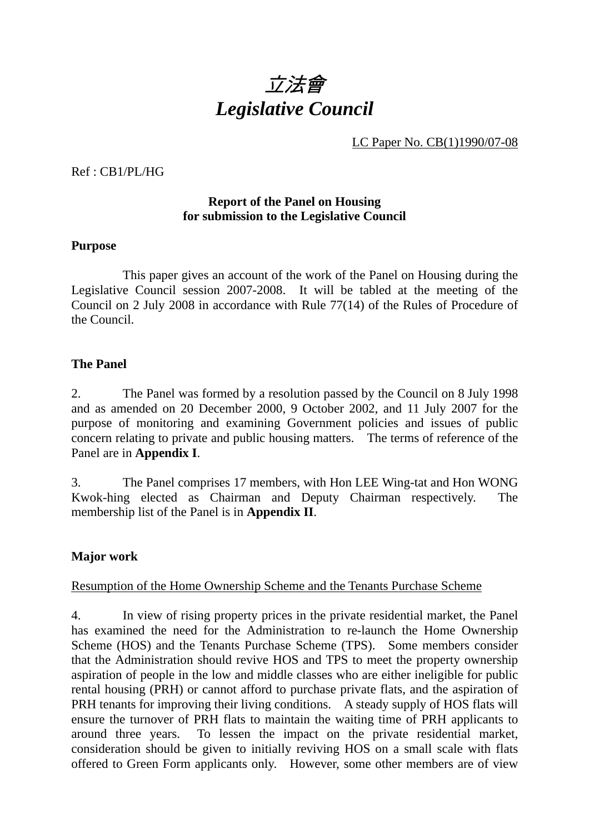

LC Paper No. CB(1)1990/07-08

Ref : CB1/PL/HG

#### **Report of the Panel on Housing for submission to the Legislative Council**

#### **Purpose**

 This paper gives an account of the work of the Panel on Housing during the Legislative Council session 2007-2008. It will be tabled at the meeting of the Council on 2 July 2008 in accordance with Rule 77(14) of the Rules of Procedure of the Council.

#### **The Panel**

2. The Panel was formed by a resolution passed by the Council on 8 July 1998 and as amended on 20 December 2000, 9 October 2002, and 11 July 2007 for the purpose of monitoring and examining Government policies and issues of public concern relating to private and public housing matters. The terms of reference of the Panel are in **Appendix I**.

3. The Panel comprises 17 members, with Hon LEE Wing-tat and Hon WONG Kwok-hing elected as Chairman and Deputy Chairman respectively. The membership list of the Panel is in **Appendix II**.

## **Major work**

#### Resumption of the Home Ownership Scheme and the Tenants Purchase Scheme

4. In view of rising property prices in the private residential market, the Panel has examined the need for the Administration to re-launch the Home Ownership Scheme (HOS) and the Tenants Purchase Scheme (TPS). Some members consider that the Administration should revive HOS and TPS to meet the property ownership aspiration of people in the low and middle classes who are either ineligible for public rental housing (PRH) or cannot afford to purchase private flats, and the aspiration of PRH tenants for improving their living conditions. A steady supply of HOS flats will ensure the turnover of PRH flats to maintain the waiting time of PRH applicants to around three years. To lessen the impact on the private residential market, consideration should be given to initially reviving HOS on a small scale with flats offered to Green Form applicants only. However, some other members are of view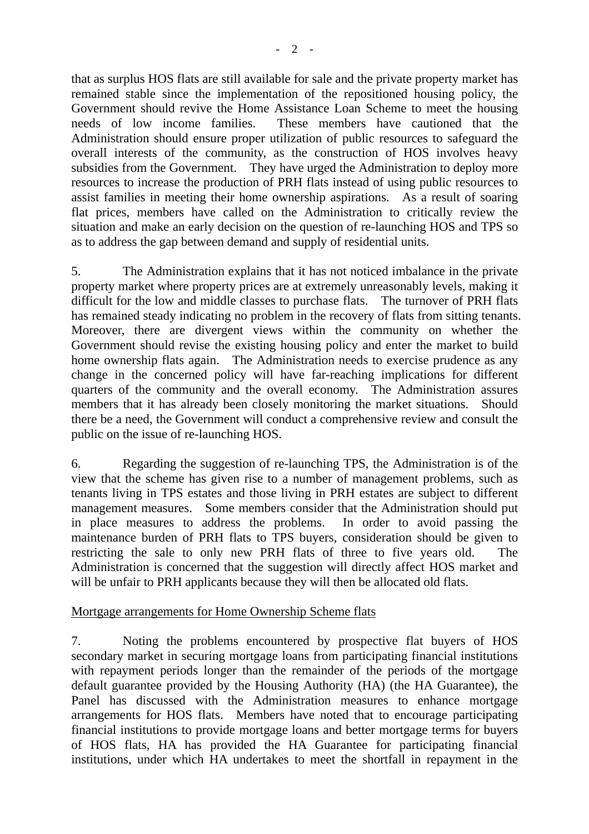that as surplus HOS flats are still available for sale and the private property market has remained stable since the implementation of the repositioned housing policy, the Government should revive the Home Assistance Loan Scheme to meet the housing needs of low income families. These members have cautioned that the Administration should ensure proper utilization of public resources to safeguard the overall interests of the community, as the construction of HOS involves heavy subsidies from the Government. They have urged the Administration to deploy more resources to increase the production of PRH flats instead of using public resources to assist families in meeting their home ownership aspirations. As a result of soaring flat prices, members have called on the Administration to critically review the situation and make an early decision on the question of re-launching HOS and TPS so as to address the gap between demand and supply of residential units.

5. The Administration explains that it has not noticed imbalance in the private property market where property prices are at extremely unreasonably levels, making it difficult for the low and middle classes to purchase flats. The turnover of PRH flats has remained steady indicating no problem in the recovery of flats from sitting tenants. Moreover, there are divergent views within the community on whether the Government should revise the existing housing policy and enter the market to build home ownership flats again. The Administration needs to exercise prudence as any change in the concerned policy will have far-reaching implications for different quarters of the community and the overall economy. The Administration assures members that it has already been closely monitoring the market situations. Should there be a need, the Government will conduct a comprehensive review and consult the public on the issue of re-launching HOS.

6. Regarding the suggestion of re-launching TPS, the Administration is of the view that the scheme has given rise to a number of management problems, such as tenants living in TPS estates and those living in PRH estates are subject to different management measures. Some members consider that the Administration should put in place measures to address the problems. In order to avoid passing the maintenance burden of PRH flats to TPS buyers, consideration should be given to restricting the sale to only new PRH flats of three to five years old. The Administration is concerned that the suggestion will directly affect HOS market and will be unfair to PRH applicants because they will then be allocated old flats.

## Mortgage arrangements for Home Ownership Scheme flats

7. Noting the problems encountered by prospective flat buyers of HOS secondary market in securing mortgage loans from participating financial institutions with repayment periods longer than the remainder of the periods of the mortgage default guarantee provided by the Housing Authority (HA) (the HA Guarantee), the Panel has discussed with the Administration measures to enhance mortgage arrangements for HOS flats. Members have noted that to encourage participating financial institutions to provide mortgage loans and better mortgage terms for buyers of HOS flats, HA has provided the HA Guarantee for participating financial institutions, under which HA undertakes to meet the shortfall in repayment in the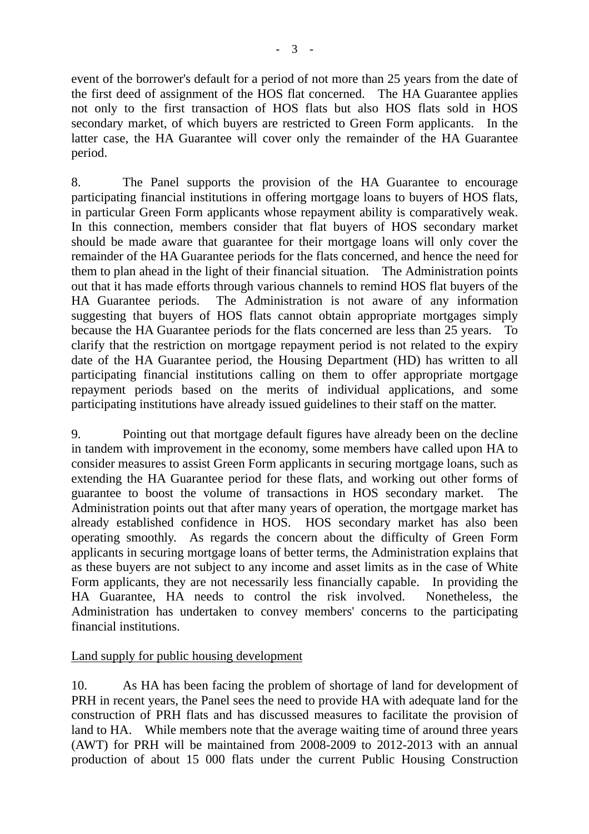event of the borrower's default for a period of not more than 25 years from the date of the first deed of assignment of the HOS flat concerned. The HA Guarantee applies not only to the first transaction of HOS flats but also HOS flats sold in HOS secondary market, of which buyers are restricted to Green Form applicants. In the latter case, the HA Guarantee will cover only the remainder of the HA Guarantee period.

8. The Panel supports the provision of the HA Guarantee to encourage participating financial institutions in offering mortgage loans to buyers of HOS flats, in particular Green Form applicants whose repayment ability is comparatively weak. In this connection, members consider that flat buyers of HOS secondary market should be made aware that guarantee for their mortgage loans will only cover the remainder of the HA Guarantee periods for the flats concerned, and hence the need for them to plan ahead in the light of their financial situation. The Administration points out that it has made efforts through various channels to remind HOS flat buyers of the HA Guarantee periods. The Administration is not aware of any information suggesting that buyers of HOS flats cannot obtain appropriate mortgages simply because the HA Guarantee periods for the flats concerned are less than 25 years. To clarify that the restriction on mortgage repayment period is not related to the expiry date of the HA Guarantee period, the Housing Department (HD) has written to all participating financial institutions calling on them to offer appropriate mortgage repayment periods based on the merits of individual applications, and some participating institutions have already issued guidelines to their staff on the matter.

9. Pointing out that mortgage default figures have already been on the decline in tandem with improvement in the economy, some members have called upon HA to consider measures to assist Green Form applicants in securing mortgage loans, such as extending the HA Guarantee period for these flats, and working out other forms of guarantee to boost the volume of transactions in HOS secondary market. The Administration points out that after many years of operation, the mortgage market has already established confidence in HOS. HOS secondary market has also been operating smoothly. As regards the concern about the difficulty of Green Form applicants in securing mortgage loans of better terms, the Administration explains that as these buyers are not subject to any income and asset limits as in the case of White Form applicants, they are not necessarily less financially capable. In providing the HA Guarantee, HA needs to control the risk involved. Nonetheless, the Administration has undertaken to convey members' concerns to the participating financial institutions.

# Land supply for public housing development

10. As HA has been facing the problem of shortage of land for development of PRH in recent years, the Panel sees the need to provide HA with adequate land for the construction of PRH flats and has discussed measures to facilitate the provision of land to HA. While members note that the average waiting time of around three years (AWT) for PRH will be maintained from 2008-2009 to 2012-2013 with an annual production of about 15 000 flats under the current Public Housing Construction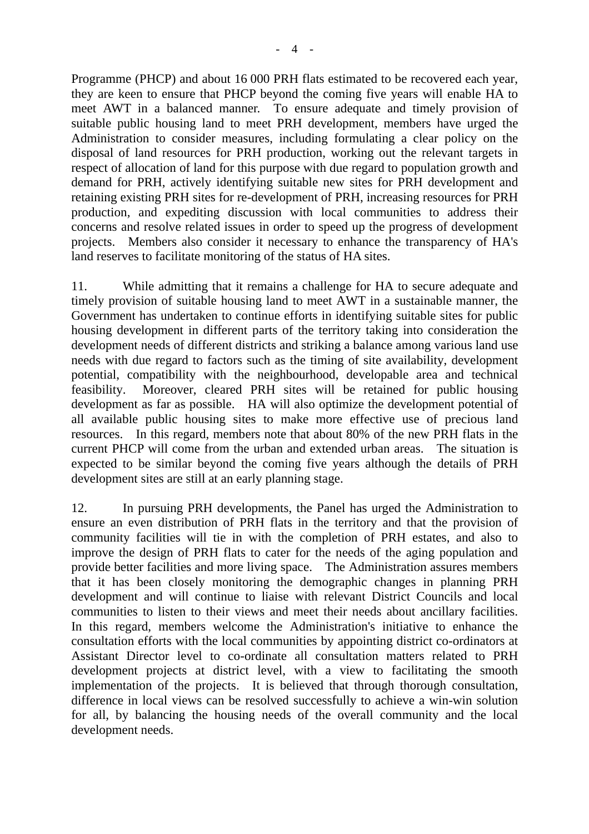Programme (PHCP) and about 16 000 PRH flats estimated to be recovered each year, they are keen to ensure that PHCP beyond the coming five years will enable HA to meet AWT in a balanced manner. To ensure adequate and timely provision of suitable public housing land to meet PRH development, members have urged the Administration to consider measures, including formulating a clear policy on the disposal of land resources for PRH production, working out the relevant targets in respect of allocation of land for this purpose with due regard to population growth and demand for PRH, actively identifying suitable new sites for PRH development and retaining existing PRH sites for re-development of PRH, increasing resources for PRH production, and expediting discussion with local communities to address their concerns and resolve related issues in order to speed up the progress of development projects. Members also consider it necessary to enhance the transparency of HA's land reserves to facilitate monitoring of the status of HA sites.

11. While admitting that it remains a challenge for HA to secure adequate and timely provision of suitable housing land to meet AWT in a sustainable manner, the Government has undertaken to continue efforts in identifying suitable sites for public housing development in different parts of the territory taking into consideration the development needs of different districts and striking a balance among various land use needs with due regard to factors such as the timing of site availability, development potential, compatibility with the neighbourhood, developable area and technical feasibility. Moreover, cleared PRH sites will be retained for public housing development as far as possible. HA will also optimize the development potential of all available public housing sites to make more effective use of precious land resources. In this regard, members note that about 80% of the new PRH flats in the current PHCP will come from the urban and extended urban areas. The situation is expected to be similar beyond the coming five years although the details of PRH development sites are still at an early planning stage.

12. In pursuing PRH developments, the Panel has urged the Administration to ensure an even distribution of PRH flats in the territory and that the provision of community facilities will tie in with the completion of PRH estates, and also to improve the design of PRH flats to cater for the needs of the aging population and provide better facilities and more living space. The Administration assures members that it has been closely monitoring the demographic changes in planning PRH development and will continue to liaise with relevant District Councils and local communities to listen to their views and meet their needs about ancillary facilities. In this regard, members welcome the Administration's initiative to enhance the consultation efforts with the local communities by appointing district co-ordinators at Assistant Director level to co-ordinate all consultation matters related to PRH development projects at district level, with a view to facilitating the smooth implementation of the projects. It is believed that through thorough consultation, difference in local views can be resolved successfully to achieve a win-win solution for all, by balancing the housing needs of the overall community and the local development needs.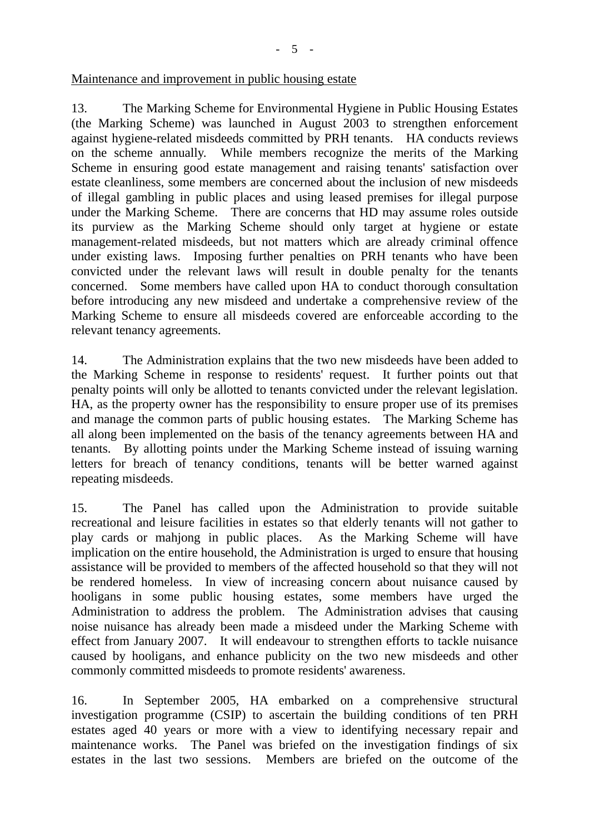## Maintenance and improvement in public housing estate

13. The Marking Scheme for Environmental Hygiene in Public Housing Estates (the Marking Scheme) was launched in August 2003 to strengthen enforcement against hygiene-related misdeeds committed by PRH tenants. HA conducts reviews on the scheme annually. While members recognize the merits of the Marking Scheme in ensuring good estate management and raising tenants' satisfaction over estate cleanliness, some members are concerned about the inclusion of new misdeeds of illegal gambling in public places and using leased premises for illegal purpose under the Marking Scheme. There are concerns that HD may assume roles outside its purview as the Marking Scheme should only target at hygiene or estate management-related misdeeds, but not matters which are already criminal offence under existing laws. Imposing further penalties on PRH tenants who have been convicted under the relevant laws will result in double penalty for the tenants concerned. Some members have called upon HA to conduct thorough consultation before introducing any new misdeed and undertake a comprehensive review of the Marking Scheme to ensure all misdeeds covered are enforceable according to the relevant tenancy agreements.

14. The Administration explains that the two new misdeeds have been added to the Marking Scheme in response to residents' request. It further points out that penalty points will only be allotted to tenants convicted under the relevant legislation. HA, as the property owner has the responsibility to ensure proper use of its premises and manage the common parts of public housing estates. The Marking Scheme has all along been implemented on the basis of the tenancy agreements between HA and tenants. By allotting points under the Marking Scheme instead of issuing warning letters for breach of tenancy conditions, tenants will be better warned against repeating misdeeds.

15. The Panel has called upon the Administration to provide suitable recreational and leisure facilities in estates so that elderly tenants will not gather to play cards or mahjong in public places. As the Marking Scheme will have implication on the entire household, the Administration is urged to ensure that housing assistance will be provided to members of the affected household so that they will not be rendered homeless. In view of increasing concern about nuisance caused by hooligans in some public housing estates, some members have urged the Administration to address the problem. The Administration advises that causing noise nuisance has already been made a misdeed under the Marking Scheme with effect from January 2007. It will endeavour to strengthen efforts to tackle nuisance caused by hooligans, and enhance publicity on the two new misdeeds and other commonly committed misdeeds to promote residents' awareness.

16. In September 2005, HA embarked on a comprehensive structural investigation programme (CSIP) to ascertain the building conditions of ten PRH estates aged 40 years or more with a view to identifying necessary repair and maintenance works. The Panel was briefed on the investigation findings of six estates in the last two sessions. Members are briefed on the outcome of the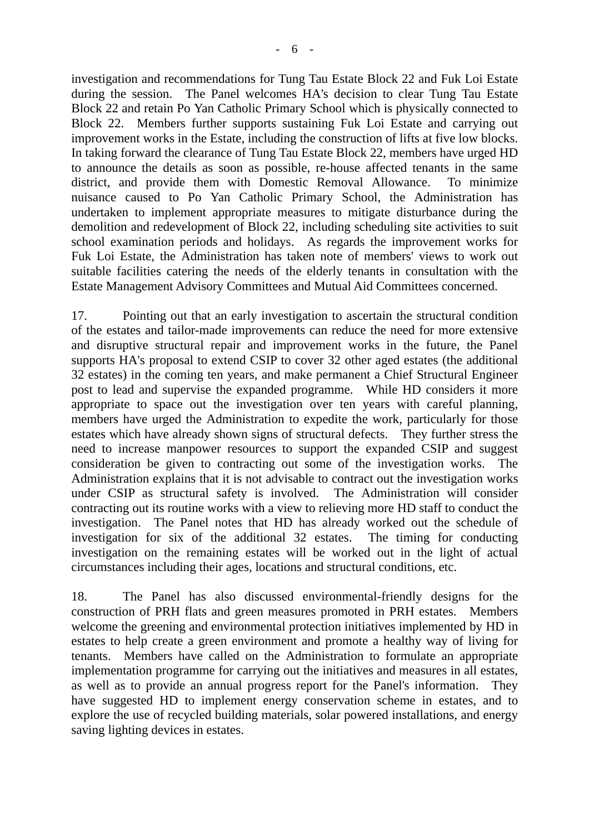investigation and recommendations for Tung Tau Estate Block 22 and Fuk Loi Estate during the session. The Panel welcomes HA's decision to clear Tung Tau Estate Block 22 and retain Po Yan Catholic Primary School which is physically connected to Block 22. Members further supports sustaining Fuk Loi Estate and carrying out improvement works in the Estate, including the construction of lifts at five low blocks. In taking forward the clearance of Tung Tau Estate Block 22, members have urged HD to announce the details as soon as possible, re-house affected tenants in the same district, and provide them with Domestic Removal Allowance. To minimize nuisance caused to Po Yan Catholic Primary School, the Administration has undertaken to implement appropriate measures to mitigate disturbance during the demolition and redevelopment of Block 22, including scheduling site activities to suit school examination periods and holidays. As regards the improvement works for Fuk Loi Estate, the Administration has taken note of members' views to work out suitable facilities catering the needs of the elderly tenants in consultation with the Estate Management Advisory Committees and Mutual Aid Committees concerned.

17. Pointing out that an early investigation to ascertain the structural condition of the estates and tailor-made improvements can reduce the need for more extensive and disruptive structural repair and improvement works in the future, the Panel supports HA's proposal to extend CSIP to cover 32 other aged estates (the additional 32 estates) in the coming ten years, and make permanent a Chief Structural Engineer post to lead and supervise the expanded programme. While HD considers it more appropriate to space out the investigation over ten years with careful planning, members have urged the Administration to expedite the work, particularly for those estates which have already shown signs of structural defects. They further stress the need to increase manpower resources to support the expanded CSIP and suggest consideration be given to contracting out some of the investigation works. The Administration explains that it is not advisable to contract out the investigation works under CSIP as structural safety is involved. The Administration will consider contracting out its routine works with a view to relieving more HD staff to conduct the investigation. The Panel notes that HD has already worked out the schedule of investigation for six of the additional 32 estates. The timing for conducting investigation on the remaining estates will be worked out in the light of actual circumstances including their ages, locations and structural conditions, etc.

18. The Panel has also discussed environmental-friendly designs for the construction of PRH flats and green measures promoted in PRH estates. Members welcome the greening and environmental protection initiatives implemented by HD in estates to help create a green environment and promote a healthy way of living for tenants. Members have called on the Administration to formulate an appropriate implementation programme for carrying out the initiatives and measures in all estates, as well as to provide an annual progress report for the Panel's information. They have suggested HD to implement energy conservation scheme in estates, and to explore the use of recycled building materials, solar powered installations, and energy saving lighting devices in estates.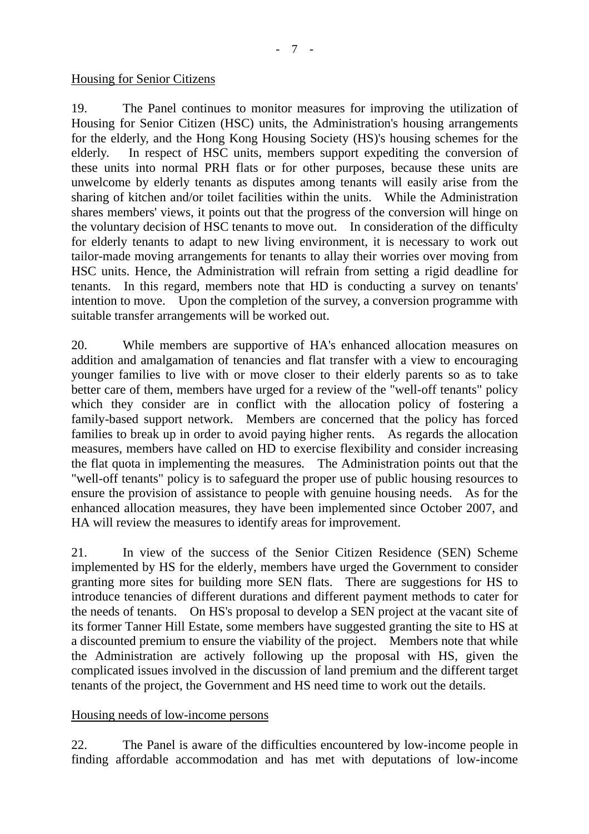#### Housing for Senior Citizens

19. The Panel continues to monitor measures for improving the utilization of Housing for Senior Citizen (HSC) units, the Administration's housing arrangements for the elderly, and the Hong Kong Housing Society (HS)'s housing schemes for the elderly. In respect of HSC units, members support expediting the conversion of these units into normal PRH flats or for other purposes, because these units are unwelcome by elderly tenants as disputes among tenants will easily arise from the sharing of kitchen and/or toilet facilities within the units. While the Administration shares members' views, it points out that the progress of the conversion will hinge on the voluntary decision of HSC tenants to move out. In consideration of the difficulty for elderly tenants to adapt to new living environment, it is necessary to work out tailor-made moving arrangements for tenants to allay their worries over moving from HSC units. Hence, the Administration will refrain from setting a rigid deadline for tenants. In this regard, members note that HD is conducting a survey on tenants' intention to move. Upon the completion of the survey, a conversion programme with suitable transfer arrangements will be worked out.

20. While members are supportive of HA's enhanced allocation measures on addition and amalgamation of tenancies and flat transfer with a view to encouraging younger families to live with or move closer to their elderly parents so as to take better care of them, members have urged for a review of the "well-off tenants" policy which they consider are in conflict with the allocation policy of fostering a family-based support network. Members are concerned that the policy has forced families to break up in order to avoid paying higher rents. As regards the allocation measures, members have called on HD to exercise flexibility and consider increasing the flat quota in implementing the measures. The Administration points out that the "well-off tenants" policy is to safeguard the proper use of public housing resources to ensure the provision of assistance to people with genuine housing needs. As for the enhanced allocation measures, they have been implemented since October 2007, and HA will review the measures to identify areas for improvement.

21. In view of the success of the Senior Citizen Residence (SEN) Scheme implemented by HS for the elderly, members have urged the Government to consider granting more sites for building more SEN flats. There are suggestions for HS to introduce tenancies of different durations and different payment methods to cater for the needs of tenants. On HS's proposal to develop a SEN project at the vacant site of its former Tanner Hill Estate, some members have suggested granting the site to HS at a discounted premium to ensure the viability of the project. Members note that while the Administration are actively following up the proposal with HS, given the complicated issues involved in the discussion of land premium and the different target tenants of the project, the Government and HS need time to work out the details.

## Housing needs of low-income persons

22. The Panel is aware of the difficulties encountered by low-income people in finding affordable accommodation and has met with deputations of low-income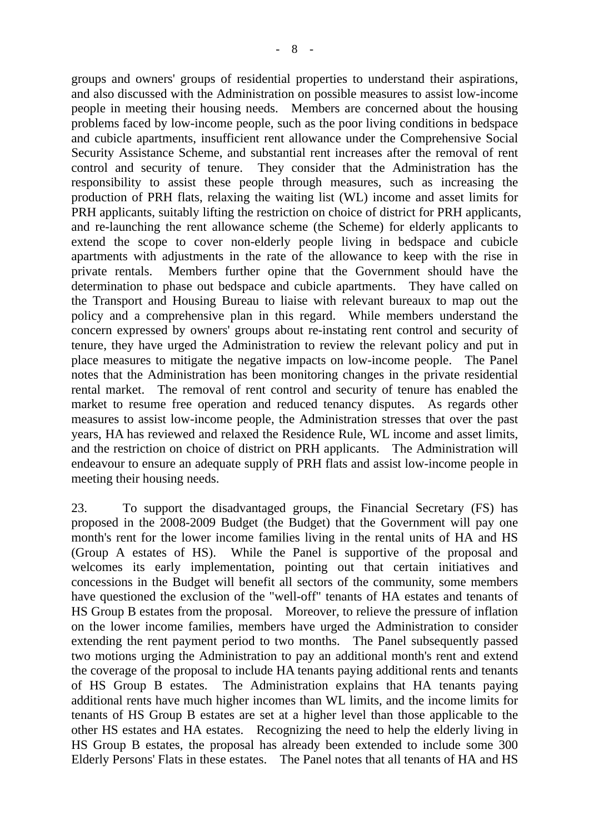groups and owners' groups of residential properties to understand their aspirations, and also discussed with the Administration on possible measures to assist low-income people in meeting their housing needs. Members are concerned about the housing problems faced by low-income people, such as the poor living conditions in bedspace and cubicle apartments, insufficient rent allowance under the Comprehensive Social Security Assistance Scheme, and substantial rent increases after the removal of rent control and security of tenure. They consider that the Administration has the responsibility to assist these people through measures, such as increasing the production of PRH flats, relaxing the waiting list (WL) income and asset limits for PRH applicants, suitably lifting the restriction on choice of district for PRH applicants, and re-launching the rent allowance scheme (the Scheme) for elderly applicants to extend the scope to cover non-elderly people living in bedspace and cubicle apartments with adjustments in the rate of the allowance to keep with the rise in private rentals. Members further opine that the Government should have the determination to phase out bedspace and cubicle apartments. They have called on the Transport and Housing Bureau to liaise with relevant bureaux to map out the policy and a comprehensive plan in this regard. While members understand the concern expressed by owners' groups about re-instating rent control and security of tenure, they have urged the Administration to review the relevant policy and put in place measures to mitigate the negative impacts on low-income people. The Panel notes that the Administration has been monitoring changes in the private residential

rental market. The removal of rent control and security of tenure has enabled the market to resume free operation and reduced tenancy disputes. As regards other measures to assist low-income people, the Administration stresses that over the past years, HA has reviewed and relaxed the Residence Rule, WL income and asset limits, and the restriction on choice of district on PRH applicants. The Administration will endeavour to ensure an adequate supply of PRH flats and assist low-income people in meeting their housing needs.

23. To support the disadvantaged groups, the Financial Secretary (FS) has proposed in the 2008-2009 Budget (the Budget) that the Government will pay one month's rent for the lower income families living in the rental units of HA and HS (Group A estates of HS). While the Panel is supportive of the proposal and welcomes its early implementation, pointing out that certain initiatives and concessions in the Budget will benefit all sectors of the community, some members have questioned the exclusion of the "well-off" tenants of HA estates and tenants of HS Group B estates from the proposal. Moreover, to relieve the pressure of inflation on the lower income families, members have urged the Administration to consider extending the rent payment period to two months. The Panel subsequently passed two motions urging the Administration to pay an additional month's rent and extend the coverage of the proposal to include HA tenants paying additional rents and tenants of HS Group B estates. The Administration explains that HA tenants paying additional rents have much higher incomes than WL limits, and the income limits for tenants of HS Group B estates are set at a higher level than those applicable to the other HS estates and HA estates. Recognizing the need to help the elderly living in HS Group B estates, the proposal has already been extended to include some 300 Elderly Persons' Flats in these estates. The Panel notes that all tenants of HA and HS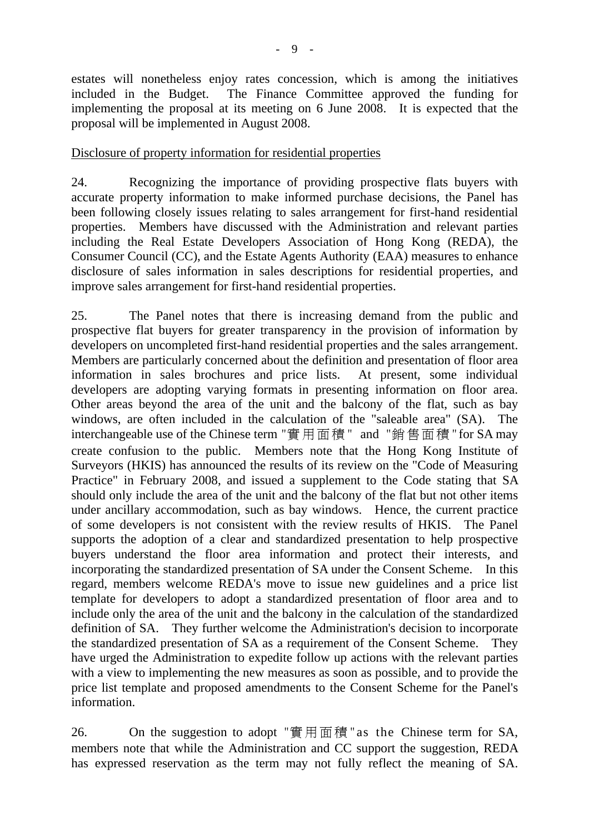estates will nonetheless enjoy rates concession, which is among the initiatives included in the Budget. The Finance Committee approved the funding for implementing the proposal at its meeting on 6 June 2008. It is expected that the proposal will be implemented in August 2008.

## Disclosure of property information for residential properties

24. Recognizing the importance of providing prospective flats buyers with accurate property information to make informed purchase decisions, the Panel has been following closely issues relating to sales arrangement for first-hand residential properties. Members have discussed with the Administration and relevant parties including the Real Estate Developers Association of Hong Kong (REDA), the Consumer Council (CC), and the Estate Agents Authority (EAA) measures to enhance disclosure of sales information in sales descriptions for residential properties, and improve sales arrangement for first-hand residential properties.

25. The Panel notes that there is increasing demand from the public and prospective flat buyers for greater transparency in the provision of information by developers on uncompleted first-hand residential properties and the sales arrangement. Members are particularly concerned about the definition and presentation of floor area information in sales brochures and price lists. At present, some individual developers are adopting varying formats in presenting information on floor area. Other areas beyond the area of the unit and the balcony of the flat, such as bay windows, are often included in the calculation of the "saleable area" (SA). The interchangeable use of the Chinese term "實用面積 " and "銷售面積 "for SA may create confusion to the public. Members note that the Hong Kong Institute of Surveyors (HKIS) has announced the results of its review on the "Code of Measuring Practice" in February 2008, and issued a supplement to the Code stating that SA should only include the area of the unit and the balcony of the flat but not other items under ancillary accommodation, such as bay windows. Hence, the current practice of some developers is not consistent with the review results of HKIS. The Panel supports the adoption of a clear and standardized presentation to help prospective buyers understand the floor area information and protect their interests, and incorporating the standardized presentation of SA under the Consent Scheme. In this regard, members welcome REDA's move to issue new guidelines and a price list template for developers to adopt a standardized presentation of floor area and to include only the area of the unit and the balcony in the calculation of the standardized definition of SA. They further welcome the Administration's decision to incorporate the standardized presentation of SA as a requirement of the Consent Scheme. They have urged the Administration to expedite follow up actions with the relevant parties with a view to implementing the new measures as soon as possible, and to provide the price list template and proposed amendments to the Consent Scheme for the Panel's information.

26. On the suggestion to adopt "實用面積 "as the Chinese term for SA, members note that while the Administration and CC support the suggestion, REDA has expressed reservation as the term may not fully reflect the meaning of SA.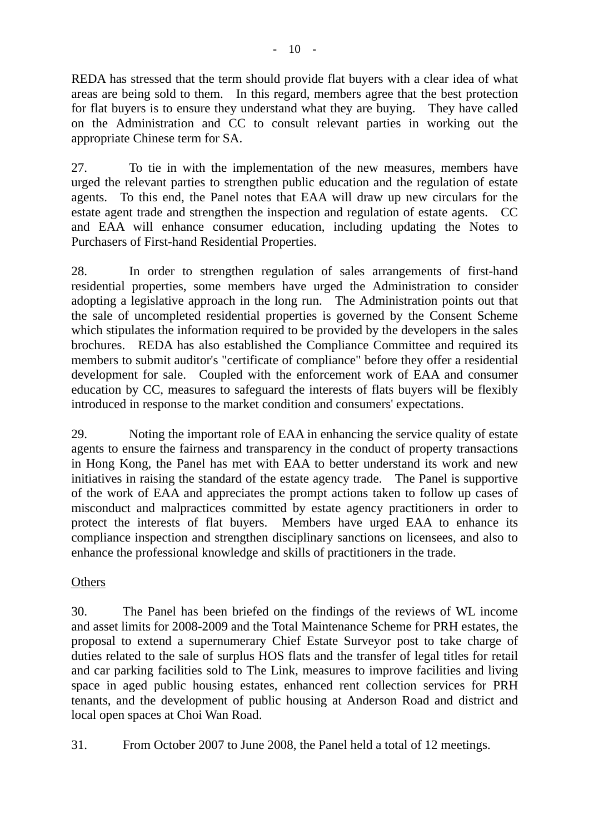REDA has stressed that the term should provide flat buyers with a clear idea of what areas are being sold to them. In this regard, members agree that the best protection for flat buyers is to ensure they understand what they are buying. They have called on the Administration and CC to consult relevant parties in working out the appropriate Chinese term for SA.

27. To tie in with the implementation of the new measures, members have urged the relevant parties to strengthen public education and the regulation of estate agents. To this end, the Panel notes that EAA will draw up new circulars for the estate agent trade and strengthen the inspection and regulation of estate agents. CC and EAA will enhance consumer education, including updating the Notes to Purchasers of First-hand Residential Properties.

28. In order to strengthen regulation of sales arrangements of first-hand residential properties, some members have urged the Administration to consider adopting a legislative approach in the long run. The Administration points out that the sale of uncompleted residential properties is governed by the Consent Scheme which stipulates the information required to be provided by the developers in the sales brochures. REDA has also established the Compliance Committee and required its members to submit auditor's "certificate of compliance" before they offer a residential development for sale. Coupled with the enforcement work of EAA and consumer education by CC, measures to safeguard the interests of flats buyers will be flexibly introduced in response to the market condition and consumers' expectations.

29. Noting the important role of EAA in enhancing the service quality of estate agents to ensure the fairness and transparency in the conduct of property transactions in Hong Kong, the Panel has met with EAA to better understand its work and new initiatives in raising the standard of the estate agency trade. The Panel is supportive of the work of EAA and appreciates the prompt actions taken to follow up cases of misconduct and malpractices committed by estate agency practitioners in order to protect the interests of flat buyers. Members have urged EAA to enhance its compliance inspection and strengthen disciplinary sanctions on licensees, and also to enhance the professional knowledge and skills of practitioners in the trade.

# **Others**

30. The Panel has been briefed on the findings of the reviews of WL income and asset limits for 2008-2009 and the Total Maintenance Scheme for PRH estates, the proposal to extend a supernumerary Chief Estate Surveyor post to take charge of duties related to the sale of surplus HOS flats and the transfer of legal titles for retail and car parking facilities sold to The Link, measures to improve facilities and living space in aged public housing estates, enhanced rent collection services for PRH tenants, and the development of public housing at Anderson Road and district and local open spaces at Choi Wan Road.

31. From October 2007 to June 2008, the Panel held a total of 12 meetings.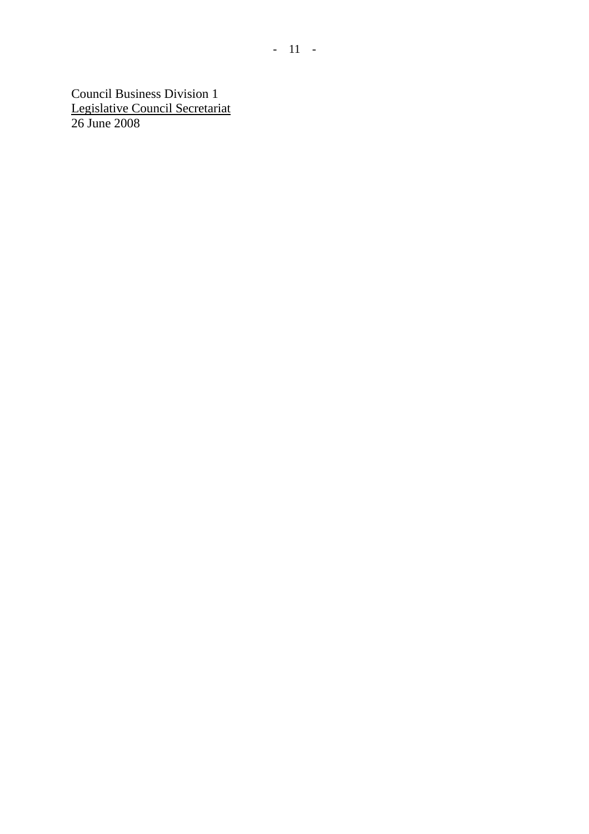Council Business Division 1 Legislative Council Secretariat 26 June 2008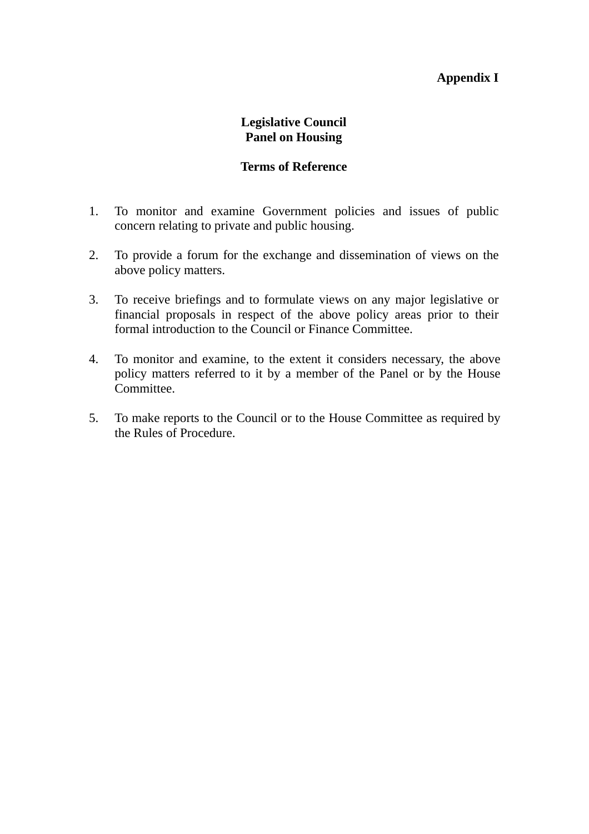## **Appendix I**

## **Legislative Council Panel on Housing**

#### **Terms of Reference**

- 1. To monitor and examine Government policies and issues of public concern relating to private and public housing.
- 2. To provide a forum for the exchange and dissemination of views on the above policy matters.
- 3. To receive briefings and to formulate views on any major legislative or financial proposals in respect of the above policy areas prior to their formal introduction to the Council or Finance Committee.
- 4. To monitor and examine, to the extent it considers necessary, the above policy matters referred to it by a member of the Panel or by the House Committee.
- 5. To make reports to the Council or to the House Committee as required by the Rules of Procedure.